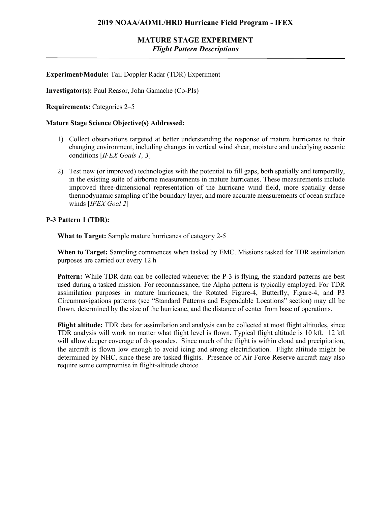## **MATURE STAGE EXPERIMENT** *Flight Pattern Descriptions*

### **Experiment/Module:** Tail Doppler Radar (TDR) Experiment

**Investigator(s):** Paul Reasor, John Gamache (Co-PIs)

**Requirements:** Categories 2–5

#### **Mature Stage Science Objective(s) Addressed:**

- 1) Collect observations targeted at better understanding the response of mature hurricanes to their changing environment, including changes in vertical wind shear, moisture and underlying oceanic conditions [*IFEX Goals 1, 3*]
- 2) Test new (or improved) technologies with the potential to fill gaps, both spatially and temporally, in the existing suite of airborne measurements in mature hurricanes. These measurements include improved three-dimensional representation of the hurricane wind field, more spatially dense thermodynamic sampling of the boundary layer, and more accurate measurements of ocean surface winds [*IFEX Goal 2*]

#### **P-3 Pattern 1 (TDR):**

**What to Target:** Sample mature hurricanes of category 2-5

**When to Target:** Sampling commences when tasked by EMC. Missions tasked for TDR assimilation purposes are carried out every 12 h

**Pattern:** While TDR data can be collected whenever the P-3 is flying, the standard patterns are best used during a tasked mission. For reconnaissance, the Alpha pattern is typically employed. For TDR assimilation purposes in mature hurricanes, the Rotated Figure-4, Butterfly, Figure-4, and P3 Circumnavigations patterns (see "Standard Patterns and Expendable Locations" section) may all be flown, determined by the size of the hurricane, and the distance of center from base of operations.

**Flight altitude:** TDR data for assimilation and analysis can be collected at most flight altitudes, since TDR analysis will work no matter what flight level is flown. Typical flight altitude is 10 kft. 12 kft will allow deeper coverage of dropsondes. Since much of the flight is within cloud and precipitation, the aircraft is flown low enough to avoid icing and strong electrification. Flight altitude might be determined by NHC, since these are tasked flights. Presence of Air Force Reserve aircraft may also require some compromise in flight-altitude choice.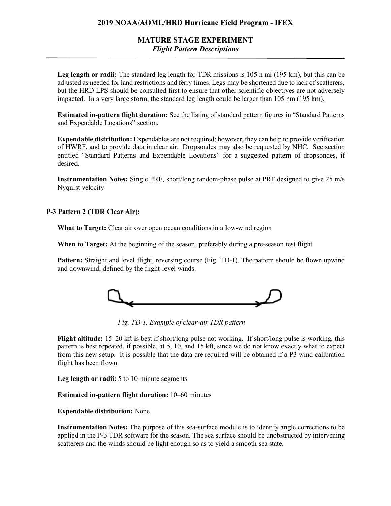### **2019 NOAA/AOML/HRD Hurricane Field Program - IFEX**

## **MATURE STAGE EXPERIMENT** *Flight Pattern Descriptions*

Leg length or radii: The standard leg length for TDR missions is 105 n mi (195 km), but this can be adjusted as needed for land restrictions and ferry times. Legs may be shortened due to lack of scatterers, but the HRD LPS should be consulted first to ensure that other scientific objectives are not adversely impacted. In a very large storm, the standard leg length could be larger than 105 nm (195 km).

**Estimated in-pattern flight duration:** See the listing of standard pattern figures in "Standard Patterns and Expendable Locations" section.

**Expendable distribution:** Expendables are not required; however, they can help to provide verification of HWRF, and to provide data in clear air. Dropsondes may also be requested by NHC. See section entitled "Standard Patterns and Expendable Locations" for a suggested pattern of dropsondes, if desired.

**Instrumentation Notes:** Single PRF, short/long random-phase pulse at PRF designed to give 25 m/s Nyquist velocity

**P-3 Pattern 2 (TDR Clear Air):**

**What to Target:** Clear air over open ocean conditions in a low-wind region

**When to Target:** At the beginning of the season, preferably during a pre-season test flight

**Pattern:** Straight and level flight, reversing course (Fig. TD-1). The pattern should be flown upwind and downwind, defined by the flight-level winds.



*Fig. TD-1. Example of clear-air TDR pattern*

**Flight altitude:** 15–20 kft is best if short/long pulse not working. If short/long pulse is working, this pattern is best repeated, if possible, at 5, 10, and 15 kft, since we do not know exactly what to expect from this new setup. It is possible that the data are required will be obtained if a P3 wind calibration flight has been flown.

**Leg length or radii:** 5 to 10-minute segments

#### **Estimated in-pattern flight duration:** 10–60 minutes

#### **Expendable distribution:** None

**Instrumentation Notes:** The purpose of this sea-surface module is to identify angle corrections to be applied in the P-3 TDR software for the season. The sea surface should be unobstructed by intervening scatterers and the winds should be light enough so as to yield a smooth sea state.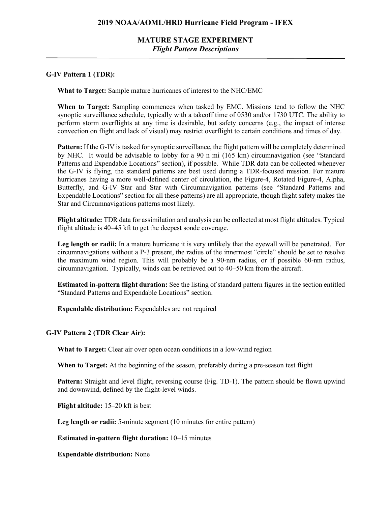## **MATURE STAGE EXPERIMENT** *Flight Pattern Descriptions*

#### **G-IV Pattern 1 (TDR):**

**What to Target:** Sample mature hurricanes of interest to the NHC/EMC

**When to Target:** Sampling commences when tasked by EMC. Missions tend to follow the NHC synoptic surveillance schedule, typically with a takeoff time of 0530 and/or 1730 UTC. The ability to perform storm overflights at any time is desirable, but safety concerns (e.g., the impact of intense convection on flight and lack of visual) may restrict overflight to certain conditions and times of day.

**Pattern:** If the G-IV is tasked for synoptic surveillance, the flight pattern will be completely determined by NHC. It would be advisable to lobby for a 90 n mi (165 km) circumnavigation (see "Standard Patterns and Expendable Locations" section), if possible. While TDR data can be collected whenever the G-IV is flying, the standard patterns are best used during a TDR-focused mission. For mature hurricanes having a more well-defined center of circulation, the Figure-4, Rotated Figure-4, Alpha, Butterfly, and G-IV Star and Star with Circumnavigation patterns (see "Standard Patterns and Expendable Locations" section for all these patterns) are all appropriate, though flight safety makes the Star and Circumnavigations patterns most likely.

**Flight altitude:** TDR data for assimilation and analysis can be collected at most flight altitudes. Typical flight altitude is 40–45 kft to get the deepest sonde coverage.

Leg length or radii: In a mature hurricane it is very unlikely that the eyewall will be penetrated. For circumnavigations without a P-3 present, the radius of the innermost "circle" should be set to resolve the maximum wind region. This will probably be a 90-nm radius, or if possible 60-nm radius, circumnavigation. Typically, winds can be retrieved out to 40–50 km from the aircraft.

**Estimated in-pattern flight duration:** See the listing of standard pattern figures in the section entitled "Standard Patterns and Expendable Locations" section.

**Expendable distribution:** Expendables are not required

#### **G-IV Pattern 2 (TDR Clear Air):**

**What to Target:** Clear air over open ocean conditions in a low-wind region

**When to Target:** At the beginning of the season, preferably during a pre-season test flight

**Pattern:** Straight and level flight, reversing course (Fig. TD-1). The pattern should be flown upwind and downwind, defined by the flight-level winds.

**Flight altitude:** 15–20 kft is best

**Leg length or radii:** 5-minute segment (10 minutes for entire pattern)

**Estimated in-pattern flight duration:** 10–15 minutes

**Expendable distribution:** None